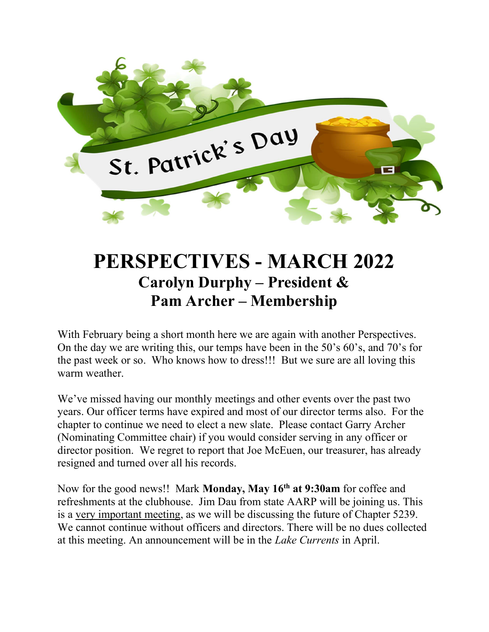

# PERSPECTIVES - MARCH 2022 Carolyn Durphy – President & Pam Archer – Membership

With February being a short month here we are again with another Perspectives. On the day we are writing this, our temps have been in the 50's 60's, and 70's for the past week or so. Who knows how to dress!!! But we sure are all loving this warm weather.

We've missed having our monthly meetings and other events over the past two years. Our officer terms have expired and most of our director terms also. For the chapter to continue we need to elect a new slate. Please contact Garry Archer (Nominating Committee chair) if you would consider serving in any officer or director position. We regret to report that Joe McEuen, our treasurer, has already resigned and turned over all his records.

Now for the good news!! Mark Monday, May 16<sup>th</sup> at 9:30am for coffee and refreshments at the clubhouse. Jim Dau from state AARP will be joining us. This is a very important meeting, as we will be discussing the future of Chapter 5239. We cannot continue without officers and directors. There will be no dues collected at this meeting. An announcement will be in the Lake Currents in April.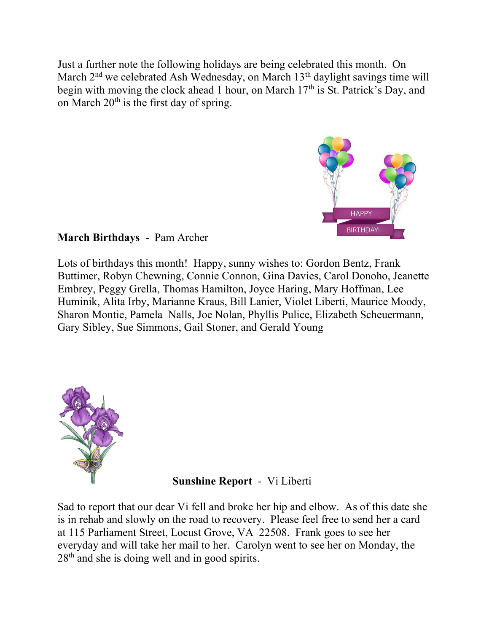Just a further note the following holidays are being celebrated this month. On March  $2<sup>nd</sup>$  we celebrated Ash Wednesday, on March 13<sup>th</sup> daylight savings time will begin with moving the clock ahead 1 hour, on March  $17<sup>th</sup>$  is St. Patrick's Day, and on March  $20<sup>th</sup>$  is the first day of spring.



## March Birthdays - Pam Archer

Lots of birthdays this month! Happy, sunny wishes to: Gordon Bentz, Frank Buttimer, Robyn Chewning, Connie Connon, Gina Davies, Carol Donoho, Jeanette Embrey, Peggy Grella, Thomas Hamilton, Joyce Haring, Mary Hoffman, Lee Huminik, Alita Irby, Marianne Kraus, Bill Lanier, Violet Liberti, Maurice Moody, Sharon Montie, Pamela Nalls, Joe Nolan, Phyllis Pulice, Elizabeth Scheuermann, Gary Sibley, Sue Simmons, Gail Stoner, and Gerald Young



### Sunshine Report - Vi Liberti

Sad to report that our dear Vi fell and broke her hip and elbow. As of this date she is in rehab and slowly on the road to recovery. Please feel free to send her a card at 115 Parliament Street, Locust Grove, VA 22508. Frank goes to see her everyday and will take her mail to her. Carolyn went to see her on Monday, the  $28<sup>th</sup>$  and she is doing well and in good spirits.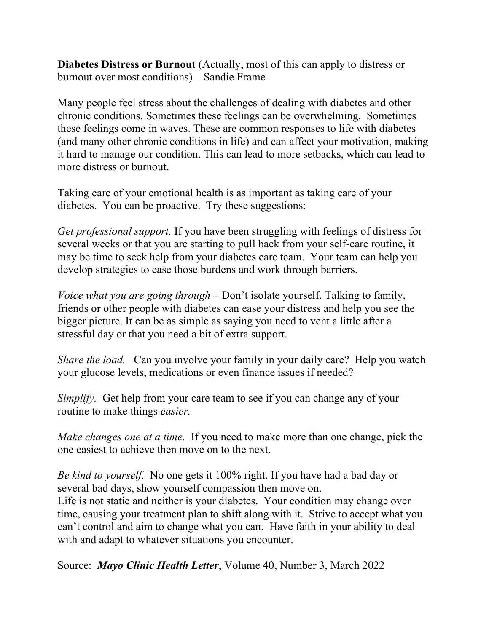Diabetes Distress or Burnout (Actually, most of this can apply to distress or burnout over most conditions) – Sandie Frame

Many people feel stress about the challenges of dealing with diabetes and other chronic conditions. Sometimes these feelings can be overwhelming. Sometimes these feelings come in waves. These are common responses to life with diabetes (and many other chronic conditions in life) and can affect your motivation, making it hard to manage our condition. This can lead to more setbacks, which can lead to more distress or burnout.

Taking care of your emotional health is as important as taking care of your diabetes. You can be proactive. Try these suggestions:

Get professional support. If you have been struggling with feelings of distress for several weeks or that you are starting to pull back from your self-care routine, it may be time to seek help from your diabetes care team. Your team can help you develop strategies to ease those burdens and work through barriers.

Voice what you are going through – Don't isolate yourself. Talking to family, friends or other people with diabetes can ease your distress and help you see the bigger picture. It can be as simple as saying you need to vent a little after a stressful day or that you need a bit of extra support.

Share the load. Can you involve your family in your daily care? Help you watch your glucose levels, medications or even finance issues if needed?

Simplify. Get help from your care team to see if you can change any of your routine to make things easier.

Make changes one at a time. If you need to make more than one change, pick the one easiest to achieve then move on to the next.

Be kind to yourself. No one gets it 100% right. If you have had a bad day or several bad days, show yourself compassion then move on. Life is not static and neither is your diabetes. Your condition may change over time, causing your treatment plan to shift along with it. Strive to accept what you can't control and aim to change what you can. Have faith in your ability to deal with and adapt to whatever situations you encounter.

Source: *Mayo Clinic Health Letter*, Volume 40, Number 3, March 2022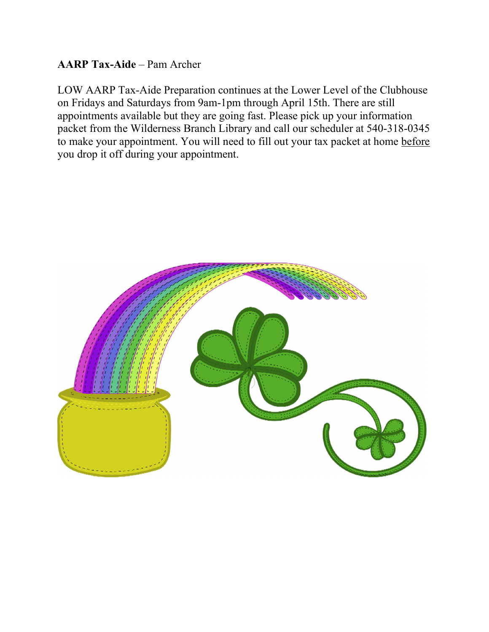## AARP Tax-Aide – Pam Archer

LOW AARP Tax-Aide Preparation continues at the Lower Level of the Clubhouse on Fridays and Saturdays from 9am-1pm through April 15th. There are still appointments available but they are going fast. Please pick up your information packet from the Wilderness Branch Library and call our scheduler at 540-318-0345 to make your appointment. You will need to fill out your tax packet at home before you drop it off during your appointment.